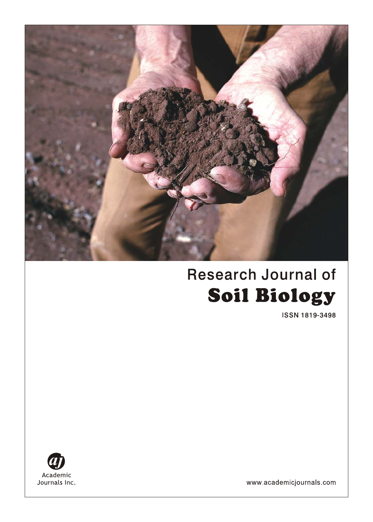

# **Research Journal of Soil Biology**

**ISSN 1819-3498** 



www.academicjournals.com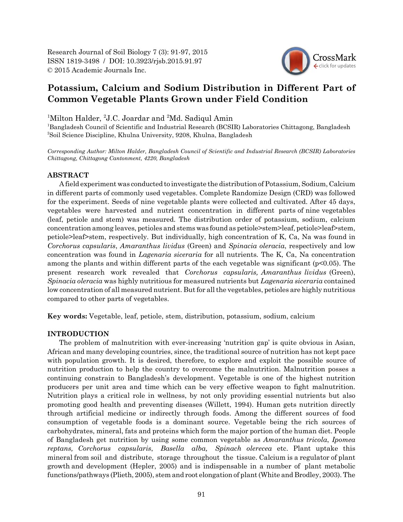Research Journal of Soil Biology 7 (3): 91-97, 2015 ISSN 1819-3498 / DOI: 10.3923/rjsb.2015.91.97 © 2015 Academic Journals Inc.



# **Potassium, Calcium and Sodium Distribution in Different Part of Common Vegetable Plants Grown under Field Condition**

<sup>1</sup>Milton Halder, <sup>2</sup>J.C. Joardar and <sup>2</sup>Md. Sadiqul Amin

<sup>1</sup>Bangladesh Council of Scientific and Industrial Research (BCSIR) Laboratories Chittagong, Bangladesh 2 Soil Science Discipline, Khulna University, 9208, Khulna, Bangladesh

*Corresponding Author: Milton Halder, Bangladesh Council of Scientific and Industrial Research (BCSIR) Laboratories Chittagong, Chittagong Cantonment, 4220, Bangladesh*

## **ABSTRACT**

A field experiment was conducted to investigate the distribution of Potassium, Sodium, Calcium in different parts of commonly used vegetables. Complete Randomize Design (CRD) was followed for the experiment. Seeds of nine vegetable plants were collected and cultivated. After 45 days, vegetables were harvested and nutrient concentration in different parts of nine vegetables (leaf, petiole and stem) was measured. The distribution order of potassium, sodium, calcium concentration among leaves, petioles and stems was found as petiole>stem>leaf, petiole>leaf>stem, petiole>leaf>stem, respectively. But individually, high concentration of K, Ca, Na was found in *Corchorus capsularis*, *Amaranthus lividus* (Green) and *Spinacia oleracia*, respectively and low concentration was found in *Lagenaria siceraria* for all nutrients*.* The K, Ca, Na concentration among the plants and within different parts of the each vegetable was significant ( $p<0.05$ ). The present research work revealed that *Corchorus capsularis, Amaranthus lividus* (Green), *Spinacia oleracia* was highly nutritious for measured nutrients but *Lagenaria siceraria* contained low concentration of all measured nutrient. But for all the vegetables, petioles are highly nutritious compared to other parts of vegetables.

**Key words:** Vegetable, leaf, petiole, stem, distribution, potassium, sodium, calcium

#### **INTRODUCTION**

The problem of malnutrition with ever-increasing 'nutrition gap' is quite obvious in Asian, African and many developing countries, since, the traditional source of nutrition has not kept pace with population growth. It is desired, therefore, to explore and exploit the possible source of nutrition production to help the country to overcome the malnutrition. Malnutrition posses a continuing constrain to Bangladesh's development. Vegetable is one of the highest nutrition producers per unit area and time which can be very effective weapon to fight malnutrition. Nutrition plays a critical role in wellness, by not only providing essential nutrients but also promoting good health and preventing diseases (Willett, 1994). Human gets nutrition directly through artificial medicine or indirectly through foods. Among the different sources of food consumption of vegetable foods is a dominant source. Vegetable being the rich sources of carbohydrates, mineral, fats and proteins which form the major portion of the human diet. People of Bangladesh get nutrition by using some common vegetable as *Amaranthus tricola*, *Ipomea reptans, Corchorus capsularis*, *Basella alba, Spinach olerecea* etc. Plant uptake this mineral from soil and distribute, storage throughout the tissue. Calcium is a regulator of plant growth and development (Hepler, 2005) and is indispensable in a number of plant metabolic functions/pathways (Plieth, 2005), stem and root elongation of plant (White and Brodley, 2003). The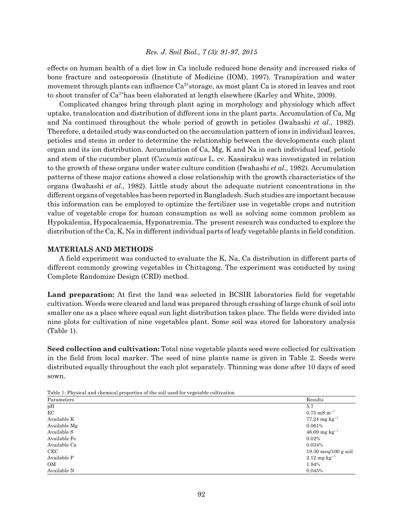*Res. J. Soil Biol., 7 (3): 91-97, 2015*

effects on human health of a diet low in Ca include reduced bone density and increased risks of bone fracture and osteoporosis (Institute of Medicine (IOM), 1997). Transpiration and water movement through plants can influence  $Ca^{2+}$ storage, as most plant Ca is stored in leaves and root to shoot transfer of  $Ca^{2+}$ has been elaborated at length elsewhere (Karley and White, 2009).

Complicated changes bring through plant aging in morphology and physiology which affect uptake, translocation and distribution of different ions in the plant parts. Accumulation of Ca, Mg and Na continued throughout the whole period of growth in petioles (Iwahashi *et al*., 1982). Therefore, a detailed study was conducted on the accumulation pattern of ions in individual leaves, petioles and stems in order to determine the relationship between the developments each plant organ and its ion distribution. Accumulation of Ca, Mg, K and Na in each individual leaf, petiole and stem of the cucumber plant (*Cucumis sativus* L. cv. Kasairaku) was investigated in relation to the growth of these organs under water culture condition (Iwahashi *et al*., 1982). Accumulation patterns of these major cations showed a close relationship with the growth characteristics of the organs (Iwahashi *et al*., 1982). Little study about the adequate nutrient concentrations in the different organs of vegetables has been reported in Bangladesh. Such studies are important because this information can be employed to optimize the fertilizer use in vegetable crops and nutrition value of vegetable crops for human consumption as well as solving some common problem as Hypokalemia, Hypocalcaemia, Hyponatremia. The present research was conducted to explore the distribution of the Ca, K, Na in different individual parts of leafy vegetable plants in field condition.

## **MATERIALS AND METHODS**

A field experiment was conducted to evaluate the K, Na, Ca distribution in different parts of different commonly growing vegetables in Chittagong. The experiment was conducted by using Complete Randomize Design (CRD) method.

**Land preparation:** At first the land was selected in BCSIR laboratories field for vegetable cultivation. Weeds were cleared and land was prepared through crashing of large chunk of soil into smaller one as a place where equal sun light distribution takes place. The fields were divided into nine plots for cultivation of nine vegetables plant. Some soil was stored for laboratory analysis (Table 1).

**Seed collection and cultivation:** Total nine vegetable plants seed were collected for cultivation in the field from local marker. The seed of nine plants name is given in Table 2. Seeds were distributed equally throughout the each plot separately. Thinning was done after 10 days of seed sown.

| tweet to the electric chemical properties of the soil ascarding contribution |                                        |  |
|------------------------------------------------------------------------------|----------------------------------------|--|
| Parameters                                                                   | Results                                |  |
| pH                                                                           | 5.7                                    |  |
| EC                                                                           | $0.75 \text{ mS m}^{-1}$               |  |
| Available K                                                                  | $77.24 \text{ mg kg}^{-1}$             |  |
| Available Mg                                                                 | 0.061%                                 |  |
| Available S                                                                  | $46.69$ mg kg <sup>-1</sup>            |  |
| Available Fe                                                                 | 0.02%                                  |  |
| Available Ca                                                                 | 0.034%                                 |  |
| CEC                                                                          | $19.30 \text{ meq}/100 \text{ g soil}$ |  |
| Available P                                                                  | $2.12 \text{ mg kg}^{-1}$              |  |
| OM                                                                           | 1.94%                                  |  |
| Available N                                                                  | 0.045%                                 |  |

Table 1: Physical and chemical properties of the soil used for vegetable cultivation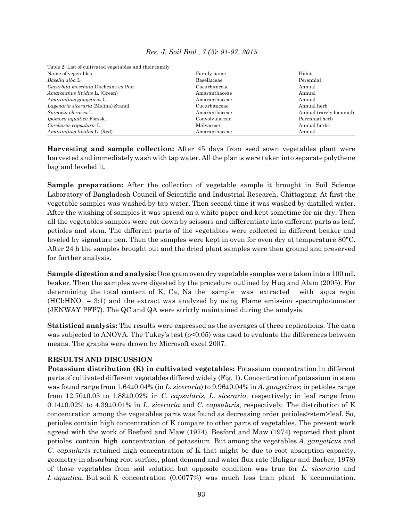## *Res. J. Soil Biol., 7 (3): 91-97, 2015*

Table 2: List of cultivated vegetables and their family

| Name of vegetables                   | Family name    | Habit                    |
|--------------------------------------|----------------|--------------------------|
| Basella alba L.                      | Basellaceae    | Perennial                |
| Cucurbita moschata Duchesne ex Poir. | Cucurbitaceae  | Annual                   |
| Amaranthus lividus L. (Green)        | Amaranthaceae  | Annual                   |
| Amaranthus gangeticus L.             | Amaranthaceae  | Annual                   |
| Lagenaria siceraria (Molina) Standl. | Cucurbitaceae  | Annual herb              |
| Spinacia oleracea L.                 | Amaranthaceae  | Annual (rarely biennial) |
| Ipomoea aquatica Forssk.             | Convolvulaceae | Perennial herb           |
| Corchorus capsularis L.              | Malvaceae      | Annual herbs             |
| Amaranthus lividus L. (Red)          | Amaranthaceae  | Annual                   |

**Harvesting and sample collection:** After 45 days from seed sown vegetables plant were harvested and immediately wash with tap water. All the plants were taken into separate polythene bag and leveled it.

**Sample preparation:** After the collection of vegetable sample it brought in Soil Science Laboratory of Bangladesh Council of Scientific and Industrial Research, Chittagong. At first the vegetable samples was washed by tap water. Then second time it was washed by distilled water. After the washing of samples it was spread on a white paper and kept sometime for air dry. Then all the vegetables samples were cut down by scissors and differentiate into different parts as leaf, petioles and stem. The different parts of the vegetables were collected in different beaker and leveled by signature pen. Then the samples were kept in oven for oven dry at temperature 80°C. After 24 h the samples brought out and the dried plant samples were then ground and preserved for further analysis.

**Sample digestion and analysis:** One gram oven dry vegetable samples were taken into a 100 mL beaker. Then the samples were digested by the procedure outlined by Huq and Alam (2005). For determining the total content of K, Ca, Na the sample was extracted with aqua regia  $(HCl: HNO<sub>3</sub> = 3:1)$  and the extract was analyzed by using Flame emission spectrophotometer (JENWAY PFP7). The QC and QA were strictly maintained during the analysis.

**Statistical analysis:** The results were expressed as the averages of three replications. The data was subjected to ANOVA. The Tukey's test  $(p<0.05)$  was used to evaluate the differences between means. The graphs were drown by Microsoft excel 2007.

# **RESULTS AND DISCUSSION**

**Potassium distribution (K) in cultivated vegetables:** Potassium concentration in different parts of cultivated different vegetables differed widely (Fig. 1). Concentration of potassium in stem was found range from 1.64±0.04% (in *L. siceraria*) to 9.96±0.04% in *A. gangeticus*; in petioles range from 12.70±0.05 to 1.88±0.02% in *C. capsularis, L. siceraria,* respectively; in leaf range from 0.14±0.02% to 4.39±0.01% in *L. siceraria* and *C. capsularis*, respectively. The distribution of K concentration among the vegetables parts was found as decreasing order petioles>stem>leaf. So, petioles contain high concentration of K compare to other parts of vegetables. The present work agreed with the work of Besford and Maw (1974). Besford and Maw (1974) reported that plant petioles contain high concentration of potassium. But among the vegetables *A. gangeticus* and *C. capsularis* retained high concentration of K that might be due to root absorption capacity, geometry in absorbing root surface, plant demand and water flux rate (Baligar and Barber, 1978) of those vegetables from soil solution but opposite condition was true for *L. siceraria* and *I. aquatica*. But soil K concentration (0.0077%) was much less than plant K accumulation.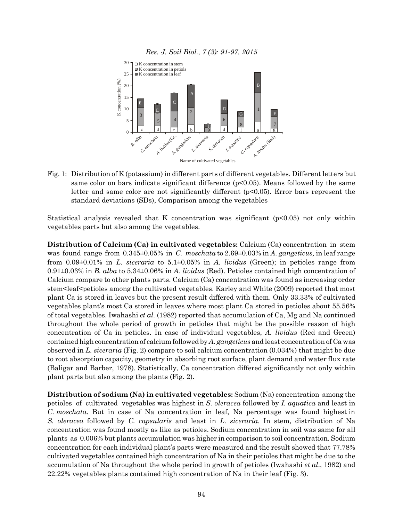



Fig. 1: Distribution of K (potassium) in different parts of different vegetables. Different letters but same color on bars indicate significant difference  $(p<0.05)$ . Means followed by the same letter and same color are not significantly different (p<0.05). Error bars represent the standard deviations (SDs), Comparison among the vegetables

Statistical analysis revealed that K concentration was significant  $(p<0.05)$  not only within vegetables parts but also among the vegetables.

**Distribution of Calcium (Ca) in cultivated vegetables:** Calcium (Ca) concentration in stem was found range from 0.345±0.05% in *C. moschata* to 2.69±0.03% in *A. gangeticus,* in leaf range from 0.09±0.01% in *L. siceraria* to 5.1±0.05% in *A. lividus* (Green); in petioles range from 0.91±0.03% in *B. alba* to 5.34±0.06% in *A. lividus* (Red). Petioles contained high concentration of Calcium compare to other plants parts. Calcium (Ca) concentration was found as increasing order stem<leaf<petioles among the cultivated vegetables. Karley and White (2009) reported that most plant Ca is stored in leaves but the present result differed with them. Only 33.33% of cultivated vegetables plant's most Ca stored in leaves where most plant Ca stored in petioles about 55.56% of total vegetables. Iwahashi *et al.* (1982) reported that accumulation of Ca, Mg and Na continued throughout the whole period of growth in petioles that might be the possible reason of high concentration of Ca in petioles. In case of individual vegetables, *A. lividus* (Red and Green) contained high concentration of calcium followed by *A. gangeticus* and least concentration of Ca was observed in *L. siceraria* (Fig. 2) compare to soil calcium concentration (0.034%) that might be due to root absorption capacity, geometry in absorbing root surface, plant demand and water flux rate (Baligar and Barber, 1978). Statistically, Ca concentration differed significantly not only within plant parts but also among the plants (Fig. 2).

**Distribution of sodium (Na) in cultivated vegetables:** Sodium (Na) concentration among the petioles of cultivated vegetables was highest in *S. oleracea* followed by *I. aquatica* and least in *C. moschata*. But in case of Na concentration in leaf, Na percentage was found highest in *S. oleracea* followed by *C. capsularis* and least in *L. siceraria*. In stem, distribution of Na concentration was found mostly as like as petioles. Sodium concentration in soil was same for all plants as 0.006% but plants accumulation was higher in comparison to soil concentration. Sodium concentration for each individual plant's parts were measured and the result showed that 77.78% cultivated vegetables contained high concentration of Na in their petioles that might be due to the accumulation of Na throughout the whole period in growth of petioles (Iwahashi *et al*., 1982) and 22.22% vegetables plants contained high concentration of Na in their leaf (Fig. 3).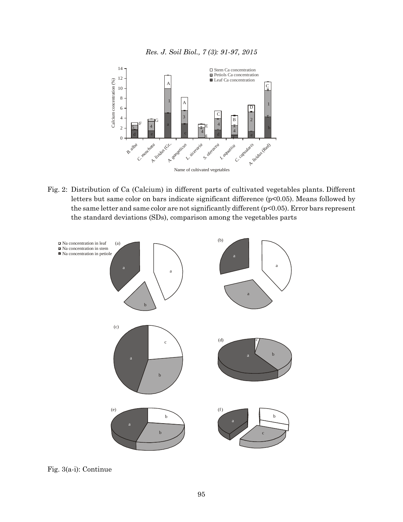



Fig. 2: Distribution of Ca (Calcium) in different parts of cultivated vegetables plants. Different letters but same color on bars indicate significant difference (p<0.05). Means followed by the same letter and same color are not significantly different (p<0.05). Error bars represent the standard deviations (SDs), comparison among the vegetables parts



Fig. 3(a-i): Continue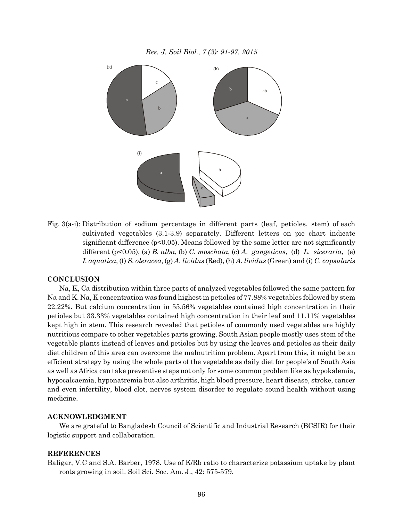

Fig. 3(a-i): Distribution of sodium percentage in different parts (leaf, petioles, stem) of each cultivated vegetables (3.1-3.9) separately. Different letters on pie chart indicate significant difference  $(p<0.05)$ . Means followed by the same letter are not significantly different (p<0.05), (a) *B. alba*, (b) *C. moschata*, (c) *A. gangeticus*, (d) *L. siceraria*, (e) *I. aquatica*, (f) *S. oleracea*, (g) *A. lividus* (Red), (h) *A. lividus* (Green) and (i) *C. capsularis*

#### **CONCLUSION**

Na, K, Ca distribution within three parts of analyzed vegetables followed the same pattern for Na and K. Na, K concentration was found highest in petioles of 77.88% vegetables followed by stem 22.22%. But calcium concentration in 55.56% vegetables contained high concentration in their petioles but 33.33% vegetables contained high concentration in their leaf and 11.11% vegetables kept high in stem. This research revealed that petioles of commonly used vegetables are highly nutritious compare to other vegetables parts growing. South Asian people mostly uses stem of the vegetable plants instead of leaves and petioles but by using the leaves and petioles as their daily diet children of this area can overcome the malnutrition problem. Apart from this, it might be an efficient strategy by using the whole parts of the vegetable as daily diet for people's of South Asia as well as Africa can take preventive steps not only for some common problem like as hypokalemia, hypocalcaemia, hyponatremia but also arthritis, high blood pressure, heart disease, stroke, cancer and even infertility, blood clot, nerves system disorder to regulate sound health without using medicine.

#### **ACKNOWLEDGMENT**

We are grateful to Bangladesh Council of Scientific and Industrial Research (BCSIR) for their logistic support and collaboration.

#### **REFERENCES**

Baligar, V.C and S.A. Barber, 1978. Use of K/Rb ratio to characterize potassium uptake by plant roots growing in soil. Soil Sci. Soc. Am. J., 42: 575-579.